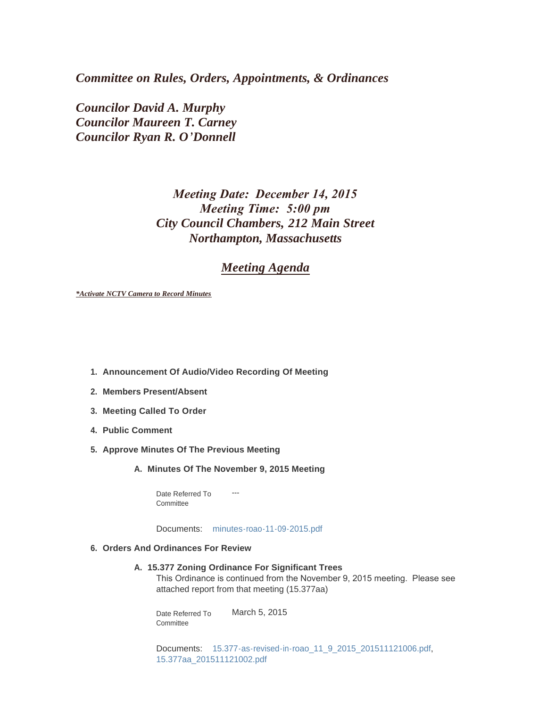*Committee on Rules, Orders, Appointments, & Ordinances*

*Councilor David A. Murphy Councilor Maureen T. Carney Councilor Ryan R. O'Donnell*

# *Meeting Date: December 14, 2015 Meeting Time: 5:00 pm City Council Chambers, 212 Main Street Northampton, Massachusetts*

# *Meeting Agenda*

*\*Activate NCTV Camera to Record Minutes*

- **Announcement Of Audio/Video Recording Of Meeting 1.**
- **Members Present/Absent 2.**
- **Meeting Called To Order 3.**
- **Public Comment 4.**
- **Approve Minutes Of The Previous Meeting 5.**
	- **Minutes Of The November 9, 2015 Meeting A.**

---

Date Referred To **Committee** 

Documents: [minutes-roao-11-09-2015.pdf](http://www.northamptonma.gov/AgendaCenter/ViewFile/Item/2512?fileID=50867)

#### **Orders And Ordinances For Review 6.**

**15.377 Zoning Ordinance For Significant Trees A.**

This Ordinance is continued from the November 9, 2015 meeting. Please see attached report from that meeting (15.377aa)

March 5, 2015 Date Referred To **Committee** 

Documents: [15.377-as-revised-in-roao\\_11\\_9\\_2015\\_201511121006.pdf](http://www.northamptonma.gov/AgendaCenter/ViewFile/Item/2513?fileID=50868), [15.377aa\\_201511121002.pdf](http://www.northamptonma.gov/AgendaCenter/ViewFile/Item/2513?fileID=50869)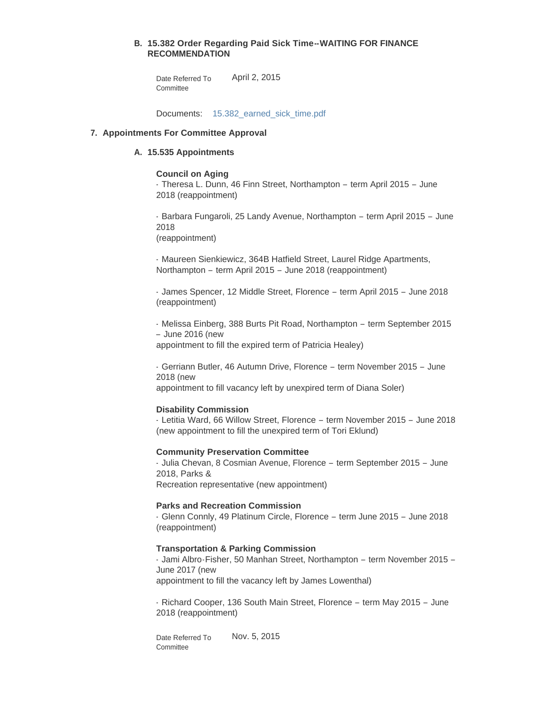# **15.382 Order Regarding Paid Sick Time--WAITING FOR FINANCE B. RECOMMENDATION**

April 2, 2015 Date Referred To **Committee** 

Documents: [15.382\\_earned\\_sick\\_time.pdf](http://www.northamptonma.gov/AgendaCenter/ViewFile/Item/1105?fileID=36696)

# **Appointments For Committee Approval 7.**

# **15.535 Appointments A.**

# **Council on Aging**

- Theresa L. Dunn, 46 Finn Street, Northampton – term April 2015 – June 2018 (reappointment)

- Barbara Fungaroli, 25 Landy Avenue, Northampton – term April 2015 – June 2018

(reappointment)

- Maureen Sienkiewicz, 364B Hatfield Street, Laurel Ridge Apartments, Northampton – term April 2015 – June 2018 (reappointment)

- James Spencer, 12 Middle Street, Florence – term April 2015 – June 2018 (reappointment)

- Melissa Einberg, 388 Burts Pit Road, Northampton – term September 2015 – June 2016 (new

appointment to fill the expired term of Patricia Healey)

- Gerriann Butler, 46 Autumn Drive, Florence – term November 2015 – June 2018 (new

appointment to fill vacancy left by unexpired term of Diana Soler)

#### **Disability Commission**

- Letitia Ward, 66 Willow Street, Florence – term November 2015 – June 2018 (new appointment to fill the unexpired term of Tori Eklund)

#### **Community Preservation Committee**

- Julia Chevan, 8 Cosmian Avenue, Florence – term September 2015 – June 2018, Parks & Recreation representative (new appointment)

# **Parks and Recreation Commission**

- Glenn Connly, 49 Platinum Circle, Florence – term June 2015 – June 2018 (reappointment)

# **Transportation & Parking Commission**

- Jami Albro-Fisher, 50 Manhan Street, Northampton – term November 2015 – June 2017 (new appointment to fill the vacancy left by James Lowenthal)

- Richard Cooper, 136 South Main Street, Florence – term May 2015 – June 2018 (reappointment)

Nov. 5, 2015 Date Referred To **Committee**